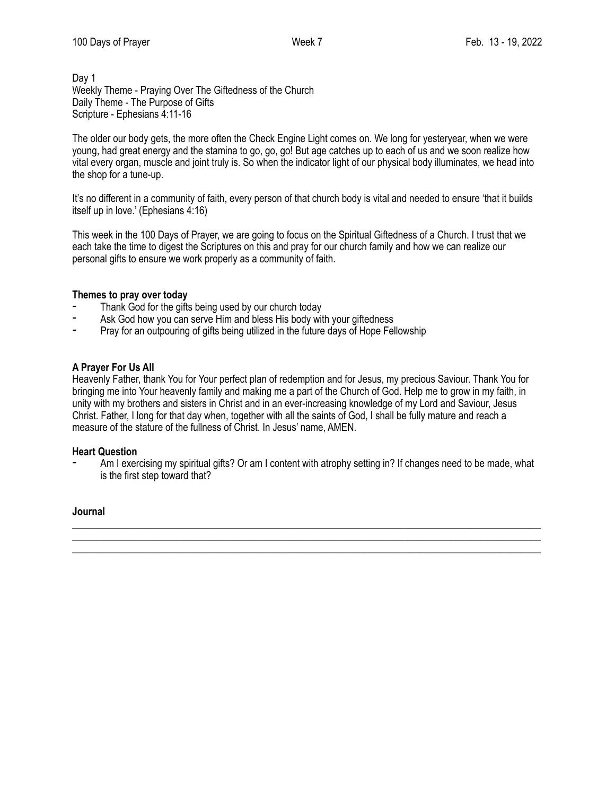Day 1 Weekly Theme - Praying Over The Giftedness of the Church Daily Theme - The Purpose of Gifts Scripture - Ephesians 4:11-16

The older our body gets, the more often the Check Engine Light comes on. We long for yesteryear, when we were young, had great energy and the stamina to go, go, go! But age catches up to each of us and we soon realize how vital every organ, muscle and joint truly is. So when the indicator light of our physical body illuminates, we head into the shop for a tune-up.

It's no different in a community of faith, every person of that church body is vital and needed to ensure 'that it builds itself up in love.' (Ephesians 4:16)

This week in the 100 Days of Prayer, we are going to focus on the Spiritual Giftedness of a Church. I trust that we each take the time to digest the Scriptures on this and pray for our church family and how we can realize our personal gifts to ensure we work properly as a community of faith.

## **Themes to pray over today**

- Thank God for the gifts being used by our church today
- Ask God how you can serve Him and bless His body with your giftedness
- ⁃ Pray for an outpouring of gifts being utilized in the future days of Hope Fellowship

#### **A Prayer For Us All**

Heavenly Father, thank You for Your perfect plan of redemption and for Jesus, my precious Saviour. Thank You for bringing me into Your heavenly family and making me a part of the Church of God. Help me to grow in my faith, in unity with my brothers and sisters in Christ and in an ever-increasing knowledge of my Lord and Saviour, Jesus Christ. Father, I long for that day when, together with all the saints of God, I shall be fully mature and reach a measure of the stature of the fullness of Christ. In Jesus' name, AMEN.

#### **Heart Question**

Am I exercising my spiritual gifts? Or am I content with atrophy setting in? If changes need to be made, what is the first step toward that?

\_\_\_\_\_\_\_\_\_\_\_\_\_\_\_\_\_\_\_\_\_\_\_\_\_\_\_\_\_\_\_\_\_\_\_\_\_\_\_\_\_\_\_\_\_\_\_\_\_\_\_\_\_\_\_\_\_\_\_\_\_\_\_\_\_\_\_\_\_\_\_\_\_\_\_\_\_\_\_\_\_\_\_\_\_\_\_\_\_\_\_\_\_ \_\_\_\_\_\_\_\_\_\_\_\_\_\_\_\_\_\_\_\_\_\_\_\_\_\_\_\_\_\_\_\_\_\_\_\_\_\_\_\_\_\_\_\_\_\_\_\_\_\_\_\_\_\_\_\_\_\_\_\_\_\_\_\_\_\_\_\_\_\_\_\_\_\_\_\_\_\_\_\_\_\_\_\_\_\_\_\_\_\_\_\_\_ \_\_\_\_\_\_\_\_\_\_\_\_\_\_\_\_\_\_\_\_\_\_\_\_\_\_\_\_\_\_\_\_\_\_\_\_\_\_\_\_\_\_\_\_\_\_\_\_\_\_\_\_\_\_\_\_\_\_\_\_\_\_\_\_\_\_\_\_\_\_\_\_\_\_\_\_\_\_\_\_\_\_\_\_\_\_\_\_\_\_\_\_\_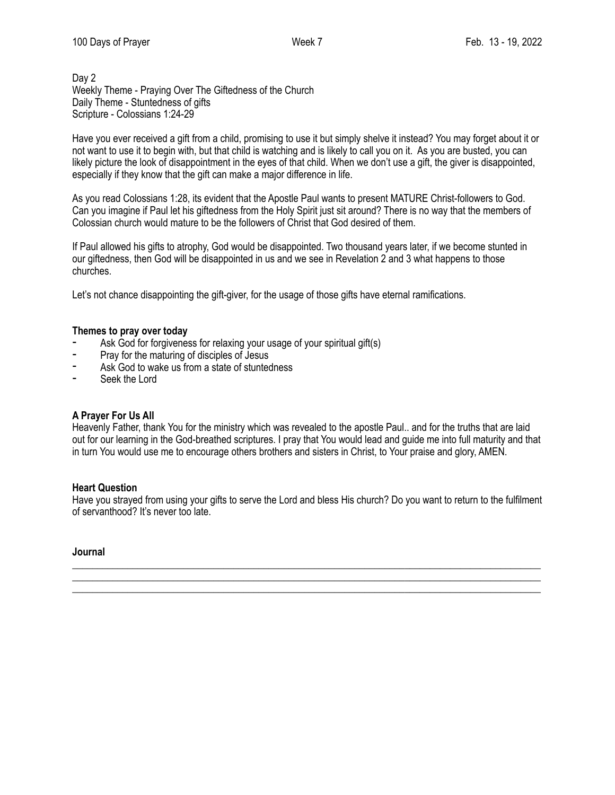## Day 2 Weekly Theme - Praying Over The Giftedness of the Church Daily Theme - Stuntedness of gifts Scripture - Colossians 1:24-29

Have you ever received a gift from a child, promising to use it but simply shelve it instead? You may forget about it or not want to use it to begin with, but that child is watching and is likely to call you on it. As you are busted, you can likely picture the look of disappointment in the eyes of that child. When we don't use a gift, the giver is disappointed, especially if they know that the gift can make a major difference in life.

As you read Colossians 1:28, its evident that the Apostle Paul wants to present MATURE Christ-followers to God. Can you imagine if Paul let his giftedness from the Holy Spirit just sit around? There is no way that the members of Colossian church would mature to be the followers of Christ that God desired of them.

If Paul allowed his gifts to atrophy, God would be disappointed. Two thousand years later, if we become stunted in our giftedness, then God will be disappointed in us and we see in Revelation 2 and 3 what happens to those churches.

Let's not chance disappointing the gift-giver, for the usage of those gifts have eternal ramifications.

## **Themes to pray over today**

- Ask God for forgiveness for relaxing your usage of your spiritual gift(s)
- ⁃ Pray for the maturing of disciples of Jesus
- Ask God to wake us from a state of stuntedness
- ⁃ Seek the Lord

#### **A Prayer For Us All**

Heavenly Father, thank You for the ministry which was revealed to the apostle Paul.. and for the truths that are laid out for our learning in the God-breathed scriptures. I pray that You would lead and guide me into full maturity and that in turn You would use me to encourage others brothers and sisters in Christ, to Your praise and glory, AMEN.

#### **Heart Question**

Have you strayed from using your gifts to serve the Lord and bless His church? Do you want to return to the fulfilment of servanthood? It's never too late.

\_\_\_\_\_\_\_\_\_\_\_\_\_\_\_\_\_\_\_\_\_\_\_\_\_\_\_\_\_\_\_\_\_\_\_\_\_\_\_\_\_\_\_\_\_\_\_\_\_\_\_\_\_\_\_\_\_\_\_\_\_\_\_\_\_\_\_\_\_\_\_\_\_\_\_\_\_\_\_\_\_\_\_\_\_\_\_\_\_\_\_\_\_ \_\_\_\_\_\_\_\_\_\_\_\_\_\_\_\_\_\_\_\_\_\_\_\_\_\_\_\_\_\_\_\_\_\_\_\_\_\_\_\_\_\_\_\_\_\_\_\_\_\_\_\_\_\_\_\_\_\_\_\_\_\_\_\_\_\_\_\_\_\_\_\_\_\_\_\_\_\_\_\_\_\_\_\_\_\_\_\_\_\_\_\_\_ \_\_\_\_\_\_\_\_\_\_\_\_\_\_\_\_\_\_\_\_\_\_\_\_\_\_\_\_\_\_\_\_\_\_\_\_\_\_\_\_\_\_\_\_\_\_\_\_\_\_\_\_\_\_\_\_\_\_\_\_\_\_\_\_\_\_\_\_\_\_\_\_\_\_\_\_\_\_\_\_\_\_\_\_\_\_\_\_\_\_\_\_\_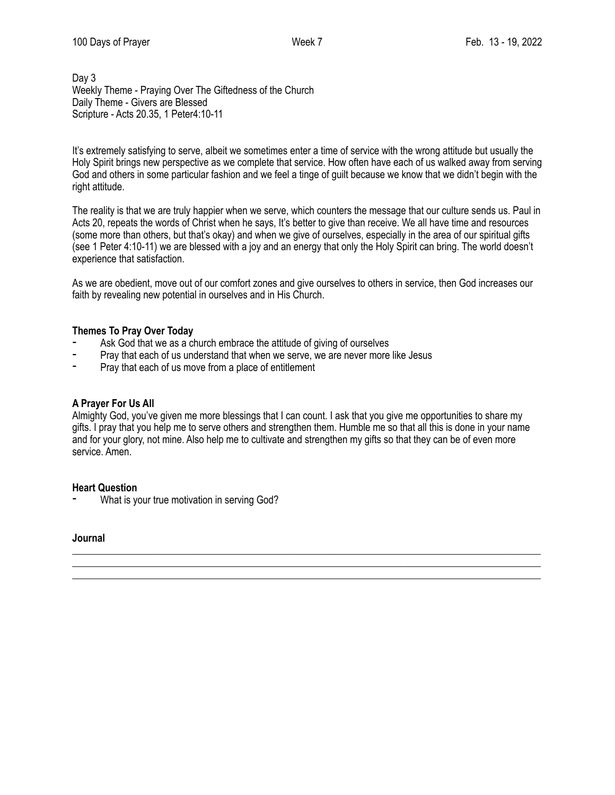Day 3 Weekly Theme - Praying Over The Giftedness of the Church Daily Theme - Givers are Blessed Scripture - Acts 20.35, 1 Peter4:10-11

It's extremely satisfying to serve, albeit we sometimes enter a time of service with the wrong attitude but usually the Holy Spirit brings new perspective as we complete that service. How often have each of us walked away from serving God and others in some particular fashion and we feel a tinge of guilt because we know that we didn't begin with the right attitude.

The reality is that we are truly happier when we serve, which counters the message that our culture sends us. Paul in Acts 20, repeats the words of Christ when he says, It's better to give than receive. We all have time and resources (some more than others, but that's okay) and when we give of ourselves, especially in the area of our spiritual gifts (see 1 Peter 4:10-11) we are blessed with a joy and an energy that only the Holy Spirit can bring. The world doesn't experience that satisfaction.

As we are obedient, move out of our comfort zones and give ourselves to others in service, then God increases our faith by revealing new potential in ourselves and in His Church.

## **Themes To Pray Over Today**

- Ask God that we as a church embrace the attitude of giving of ourselves
- Pray that each of us understand that when we serve, we are never more like Jesus
- Pray that each of us move from a place of entitlement

#### **A Prayer For Us All**

Almighty God, you've given me more blessings that I can count. I ask that you give me opportunities to share my gifts. I pray that you help me to serve others and strengthen them. Humble me so that all this is done in your name and for your glory, not mine. Also help me to cultivate and strengthen my gifts so that they can be of even more service. Amen.

\_\_\_\_\_\_\_\_\_\_\_\_\_\_\_\_\_\_\_\_\_\_\_\_\_\_\_\_\_\_\_\_\_\_\_\_\_\_\_\_\_\_\_\_\_\_\_\_\_\_\_\_\_\_\_\_\_\_\_\_\_\_\_\_\_\_\_\_\_\_\_\_\_\_\_\_\_\_\_\_\_\_\_\_\_\_\_\_\_\_\_\_\_ \_\_\_\_\_\_\_\_\_\_\_\_\_\_\_\_\_\_\_\_\_\_\_\_\_\_\_\_\_\_\_\_\_\_\_\_\_\_\_\_\_\_\_\_\_\_\_\_\_\_\_\_\_\_\_\_\_\_\_\_\_\_\_\_\_\_\_\_\_\_\_\_\_\_\_\_\_\_\_\_\_\_\_\_\_\_\_\_\_\_\_\_\_ \_\_\_\_\_\_\_\_\_\_\_\_\_\_\_\_\_\_\_\_\_\_\_\_\_\_\_\_\_\_\_\_\_\_\_\_\_\_\_\_\_\_\_\_\_\_\_\_\_\_\_\_\_\_\_\_\_\_\_\_\_\_\_\_\_\_\_\_\_\_\_\_\_\_\_\_\_\_\_\_\_\_\_\_\_\_\_\_\_\_\_\_\_

# **Heart Question**

What is your true motivation in serving God?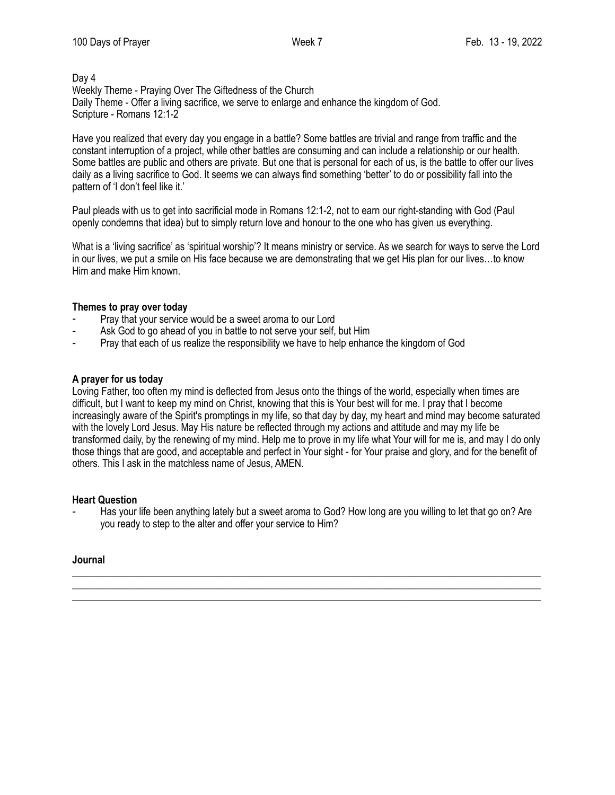#### Day 4 Weekly Theme - Praying Over The Giftedness of the Church Daily Theme - Offer a living sacrifice, we serve to enlarge and enhance the kingdom of God. Scripture - Romans 12:1-2

Have you realized that every day you engage in a battle? Some battles are trivial and range from traffic and the constant interruption of a project, while other battles are consuming and can include a relationship or our health. Some battles are public and others are private. But one that is personal for each of us, is the battle to offer our lives daily as a living sacrifice to God. It seems we can always find something 'better' to do or possibility fall into the pattern of 'I don't feel like it.'

Paul pleads with us to get into sacrificial mode in Romans 12:1-2, not to earn our right-standing with God (Paul openly condemns that idea) but to simply return love and honour to the one who has given us everything.

What is a 'living sacrifice' as 'spiritual worship'? It means ministry or service. As we search for ways to serve the Lord in our lives, we put a smile on His face because we are demonstrating that we get His plan for our lives…to know Him and make Him known.

## **Themes to pray over today**

- Pray that your service would be a sweet aroma to our Lord
- Ask God to go ahead of you in battle to not serve your self, but Him
- Pray that each of us realize the responsibility we have to help enhance the kingdom of God

#### **A prayer for us today**

Loving Father, too often my mind is deflected from Jesus onto the things of the world, especially when times are difficult, but I want to keep my mind on Christ, knowing that this is Your best will for me. I pray that I become increasingly aware of the Spirit's promptings in my life, so that day by day, my heart and mind may become saturated with the lovely Lord Jesus. May His nature be reflected through my actions and attitude and may my life be transformed daily, by the renewing of my mind. Help me to prove in my life what Your will for me is, and may I do only those things that are good, and acceptable and perfect in Your sight - for Your praise and glory, and for the benefit of others. This I ask in the matchless name of Jesus, AMEN.

#### **Heart Question**

Has your life been anything lately but a sweet aroma to God? How long are you willing to let that go on? Are you ready to step to the alter and offer your service to Him?

\_\_\_\_\_\_\_\_\_\_\_\_\_\_\_\_\_\_\_\_\_\_\_\_\_\_\_\_\_\_\_\_\_\_\_\_\_\_\_\_\_\_\_\_\_\_\_\_\_\_\_\_\_\_\_\_\_\_\_\_\_\_\_\_\_\_\_\_\_\_\_\_\_\_\_\_\_\_\_\_\_\_\_\_\_\_\_\_\_\_\_\_\_ \_\_\_\_\_\_\_\_\_\_\_\_\_\_\_\_\_\_\_\_\_\_\_\_\_\_\_\_\_\_\_\_\_\_\_\_\_\_\_\_\_\_\_\_\_\_\_\_\_\_\_\_\_\_\_\_\_\_\_\_\_\_\_\_\_\_\_\_\_\_\_\_\_\_\_\_\_\_\_\_\_\_\_\_\_\_\_\_\_\_\_\_\_ \_\_\_\_\_\_\_\_\_\_\_\_\_\_\_\_\_\_\_\_\_\_\_\_\_\_\_\_\_\_\_\_\_\_\_\_\_\_\_\_\_\_\_\_\_\_\_\_\_\_\_\_\_\_\_\_\_\_\_\_\_\_\_\_\_\_\_\_\_\_\_\_\_\_\_\_\_\_\_\_\_\_\_\_\_\_\_\_\_\_\_\_\_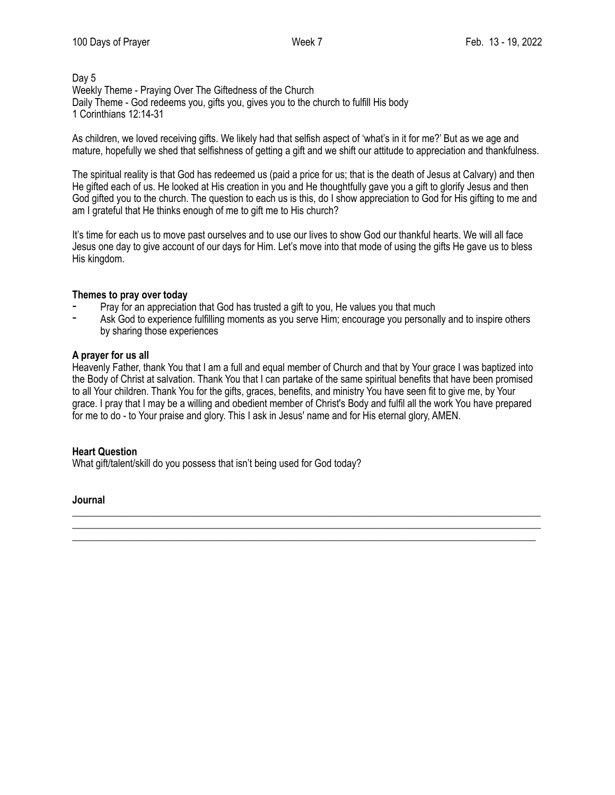## Day 5 Weekly Theme - Praying Over The Giftedness of the Church Daily Theme - God redeems you, gifts you, gives you to the church to fulfill His body 1 Corinthians 12:14-31

As children, we loved receiving gifts. We likely had that selfish aspect of 'what's in it for me?' But as we age and mature, hopefully we shed that selfishness of getting a gift and we shift our attitude to appreciation and thankfulness.

The spiritual reality is that God has redeemed us (paid a price for us; that is the death of Jesus at Calvary) and then He gifted each of us. He looked at His creation in you and He thoughtfully gave you a gift to glorify Jesus and then God gifted you to the church. The question to each us is this, do I show appreciation to God for His gifting to me and am I grateful that He thinks enough of me to gift me to His church?

It's time for each us to move past ourselves and to use our lives to show God our thankful hearts. We will all face Jesus one day to give account of our days for Him. Let's move into that mode of using the gifts He gave us to bless His kingdom.

#### **Themes to pray over today**

- Pray for an appreciation that God has trusted a gift to you, He values you that much
- Ask God to experience fulfilling moments as you serve Him; encourage you personally and to inspire others by sharing those experiences

## **A prayer for us all**

Heavenly Father, thank You that I am a full and equal member of Church and that by Your grace I was baptized into the Body of Christ at salvation. Thank You that I can partake of the same spiritual benefits that have been promised to all Your children. Thank You for the gifts, graces, benefits, and ministry You have seen fit to give me, by Your grace. I pray that I may be a willing and obedient member of Christ's Body and fulfil all the work You have prepared for me to do - to Your praise and glory. This I ask in Jesus' name and for His eternal glory, AMEN.

\_\_\_\_\_\_\_\_\_\_\_\_\_\_\_\_\_\_\_\_\_\_\_\_\_\_\_\_\_\_\_\_\_\_\_\_\_\_\_\_\_\_\_\_\_\_\_\_\_\_\_\_\_\_\_\_\_\_\_\_\_\_\_\_\_\_\_\_\_\_\_\_\_\_\_\_\_\_\_\_\_\_\_\_\_\_\_\_\_\_\_\_\_ \_\_\_\_\_\_\_\_\_\_\_\_\_\_\_\_\_\_\_\_\_\_\_\_\_\_\_\_\_\_\_\_\_\_\_\_\_\_\_\_\_\_\_\_\_\_\_\_\_\_\_\_\_\_\_\_\_\_\_\_\_\_\_\_\_\_\_\_\_\_\_\_\_\_\_\_\_\_\_\_\_\_\_\_\_\_\_\_\_\_\_\_\_ \_\_\_\_\_\_\_\_\_\_\_\_\_\_\_\_\_\_\_\_\_\_\_\_\_\_\_\_\_\_\_\_\_\_\_\_\_\_\_\_\_\_\_\_\_\_\_\_\_\_\_\_\_\_\_\_\_\_\_\_\_\_\_\_\_\_\_\_\_\_\_\_\_\_\_\_\_\_\_\_\_\_\_\_\_\_\_\_\_\_\_\_

#### **Heart Question**

What gift/talent/skill do you possess that isn't being used for God today?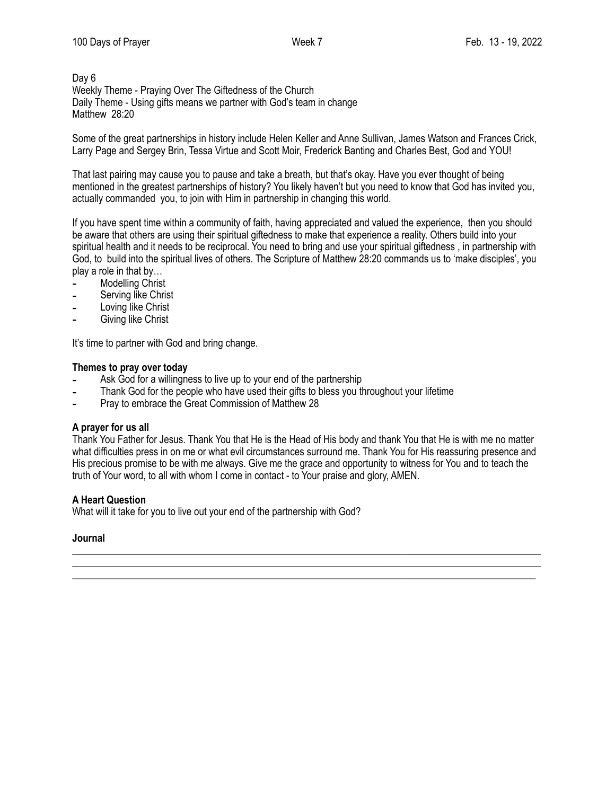# Day 6 Weekly Theme - Praying Over The Giftedness of the Church Daily Theme - Using gifts means we partner with God's team in change Matthew 28:20

Some of the great partnerships in history include Helen Keller and Anne Sullivan, James Watson and Frances Crick, Larry Page and Sergey Brin, Tessa Virtue and Scott Moir, Frederick Banting and Charles Best, God and YOU!

That last pairing may cause you to pause and take a breath, but that's okay. Have you ever thought of being mentioned in the greatest partnerships of history? You likely haven't but you need to know that God has invited you, actually commanded you, to join with Him in partnership in changing this world.

If you have spent time within a community of faith, having appreciated and valued the experience, then you should be aware that others are using their spiritual giftedness to make that experience a reality. Others build into your spiritual health and it needs to be reciprocal. You need to bring and use your spiritual giftedness , in partnership with God, to build into the spiritual lives of others. The Scripture of Matthew 28:20 commands us to 'make disciples', you play a role in that by…

- Modelling Christ
- Serving like Christ
- Loving like Christ
- Giving like Christ

It's time to partner with God and bring change.

#### **Themes to pray over today**

- Ask God for a willingness to live up to your end of the partnership
- Thank God for the people who have used their gifts to bless you throughout your lifetime
- Pray to embrace the Great Commission of Matthew 28

#### **A prayer for us all**

Thank You Father for Jesus. Thank You that He is the Head of His body and thank You that He is with me no matter what difficulties press in on me or what evil circumstances surround me. Thank You for His reassuring presence and His precious promise to be with me always. Give me the grace and opportunity to witness for You and to teach the truth of Your word, to all with whom I come in contact - to Your praise and glory, AMEN.

\_\_\_\_\_\_\_\_\_\_\_\_\_\_\_\_\_\_\_\_\_\_\_\_\_\_\_\_\_\_\_\_\_\_\_\_\_\_\_\_\_\_\_\_\_\_\_\_\_\_\_\_\_\_\_\_\_\_\_\_\_\_\_\_\_\_\_\_\_\_\_\_\_\_\_\_\_\_\_\_\_\_\_\_\_\_\_\_\_\_\_\_\_ \_\_\_\_\_\_\_\_\_\_\_\_\_\_\_\_\_\_\_\_\_\_\_\_\_\_\_\_\_\_\_\_\_\_\_\_\_\_\_\_\_\_\_\_\_\_\_\_\_\_\_\_\_\_\_\_\_\_\_\_\_\_\_\_\_\_\_\_\_\_\_\_\_\_\_\_\_\_\_\_\_\_\_\_\_\_\_\_\_\_\_\_\_ \_\_\_\_\_\_\_\_\_\_\_\_\_\_\_\_\_\_\_\_\_\_\_\_\_\_\_\_\_\_\_\_\_\_\_\_\_\_\_\_\_\_\_\_\_\_\_\_\_\_\_\_\_\_\_\_\_\_\_\_\_\_\_\_\_\_\_\_\_\_\_\_\_\_\_\_\_\_\_\_\_\_\_\_\_\_\_\_\_\_\_\_

# **A Heart Question**

What will it take for you to live out your end of the partnership with God?